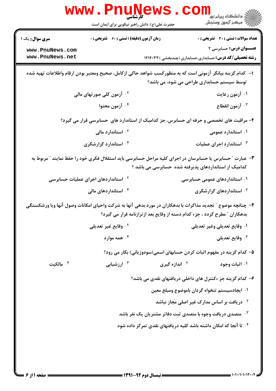|                                                                   | <b>WWW.FILUN</b><br>کار شناسے<br>حضرت علی(ع): دانش راهبر نیکویی برای ایمان است                              |                                                                             | راد دانشگاه پيام نور <mark>−</mark><br>ار⊂مرکز آزمون وسنجش                                                                                 |
|-------------------------------------------------------------------|-------------------------------------------------------------------------------------------------------------|-----------------------------------------------------------------------------|--------------------------------------------------------------------------------------------------------------------------------------------|
| <b>سری سوال :</b> یک ۱<br>www.PnuNews.com<br>www.PnuNews.net      | <b>زمان آزمون (دقیقه) : تستی : 60 ٪ تشریحی : 0</b>                                                          |                                                                             | تعداد سوالات : تستي : 30 ٪ تشريحي : 0<br><b>عنـــوان درس:</b> حسابرسی ۲<br><b>رشته تحصیلی/کد درس:</b> حسابداری،حسابداری (چندبخشی ) ۱۲۱۴۰۳۳ |
|                                                                   | ا–۔ کدام گزینه بیانگر آزمونی است که به منظورکسب شواهد حاکی ازکامل، صحیح ومعتبر بودن ارقام واطلاعات تهیه شده | توسط سیستم حسابداری طراحی می شود، می باشد؟                                  |                                                                                                                                            |
|                                                                   | <sup>۲ .</sup> آزمون کلی صورتهای مالی                                                                       |                                                                             | ۰۱ آزمون رعایت                                                                                                                             |
|                                                                   | ۰۴ آزمون محتوا                                                                                              |                                                                             | ۰ <sup>۳</sup> آزمون انقطاع                                                                                                                |
|                                                                   | ۲- مراقبت های تخصصی و حرفه ای حسابرس، جز کدامیک از استاندارد های حسابرسی قرار می گیرد؟                      |                                                                             |                                                                                                                                            |
|                                                                   | ۰ <sup>۲</sup> استاندارد مالی                                                                               |                                                                             | ۰۱ استاندارد عمومی                                                                                                                         |
|                                                                   | ۰۴ استاندارد گزارشگری                                                                                       |                                                                             | ۰۳ استاندارد اجرای عملیات                                                                                                                  |
|                                                                   | ۳- عبارت " حسابرس یا حسابرسان در اجرای کلیه مراحل حسابرسی باید استقلال فکری خود را حفظ نمایند " مربوط به    | کدامیک از استانداردهای پذیرفته شده حسابرسی می باشد ؟                        |                                                                                                                                            |
|                                                                   | <sup>۲ .</sup> استانداردهای اجرای عملیات حسابرسی                                                            |                                                                             | ۰۱ استانداردهای عمومی حسابرسی                                                                                                              |
|                                                                   | ۰۴ استانداردهای مالی                                                                                        |                                                                             | ۰۳ استانداردهای گزارشگری                                                                                                                   |
|                                                                   | ۴– چنانچه موضوع ″ تجدید مذاکرات با بدهکاران در مورد بدهی آنها به شرکت واحیای امکانات وصول آنها ویا ورشکستگی | بدهکاران ″ مطرح گردد ، جزء کدام دسته از وقایع بعد از ترازنامه قرار می گیرد؟ |                                                                                                                                            |
|                                                                   | ۰۲ وقایع غیر تعدیل <u>ی</u>                                                                                 |                                                                             | ٠١ وقايع تعديلي وغير تعديلي                                                                                                                |
|                                                                   | همه موارد $\cdot$ ۴                                                                                         |                                                                             | وقايع تعديلي $\cdot^7$                                                                                                                     |
|                                                                   |                                                                                                             |                                                                             | ۵– کدام گزینه در مفهوم اثبات کردن حسابهای اسمی(سودوزیانی) بکار می رود؟                                                                     |
| ۰ <sup>۴</sup> مالکیت                                             | ۰ <sup>۳</sup> ارزشیابی                                                                                     | ۰ <sup>۲</sup> اندازه گیری                                                  | ۰۱ اثبات وجود                                                                                                                              |
|                                                                   |                                                                                                             |                                                                             | ۶– کدام گزینه جز ءکنترل های داخلی دریافتهای نقدی می باشد؟                                                                                  |
|                                                                   |                                                                                                             |                                                                             | ٠١. ايجادسيستم تنخواه گردان باموضوع ومبلغ معين                                                                                             |
|                                                                   |                                                                                                             |                                                                             | ۰ <sup>۲</sup> دریافت بر اساس مدارک غیر اصلی مجاز نباشد                                                                                    |
|                                                                   |                                                                                                             | شمی دریافت وجوه با متصدی ثبت دفاتر مشتریان یک نفر باشد $\cdot^{\texttt{w}}$ |                                                                                                                                            |
| ۰۴ تا آنجا که امکان داشته باشد کلیه دریافتهای نقدی تمرکز داده شود |                                                                                                             |                                                                             |                                                                                                                                            |
|                                                                   |                                                                                                             |                                                                             |                                                                                                                                            |
|                                                                   |                                                                                                             |                                                                             |                                                                                                                                            |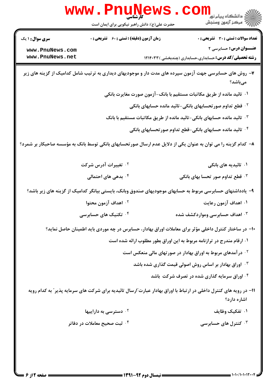|                                                              | www.PnuNews.<br>حضرت علی(ع): دانش راهبر نیکویی برای ایمان است | رد دانشکاه پيام نور ■<br>ار <i>در دن آزمون وسنجش</i>                                                                                              |
|--------------------------------------------------------------|---------------------------------------------------------------|---------------------------------------------------------------------------------------------------------------------------------------------------|
| <b>سری سوال : ۱ یک</b><br>www.PnuNews.com<br>www.PnuNews.net | <b>زمان آزمون (دقیقه) : تستی : 60 ٪ تشریحی : 0</b>            | <b>تعداد سوالات : تستی : 30 ٪ تشریحی : 0</b><br><b>عنـــوان درس:</b> حسابرسی ۲<br><b>رشته تحصیلی/کد درس:</b> حسابداری،حسابداری (چندبخشی ) ۱۲۱۴۰۳۳ |
|                                                              |                                                               | ۷– روش های حسابرسی جهت آزمون سپرده های مدت دار و موجودیهای دیداری به ترتیب شامل کدامیک از گزینه های زیر<br>مىباشد؟                                |
|                                                              |                                                               | ۰۱ تائید مانده از طریق مکاتبات مستقیم با بانک-آزمون صورت مغایرت بانکی                                                                             |
|                                                              |                                                               | <sup>۲</sup> ۰ قطع تداوم صورتحسابهای بانکی-تائید مانده حسابهای بانکی                                                                              |
|                                                              |                                                               | ۰۳ تائید مانده حسابهای بانکی-تائید مانده از طریق مکاتبات مستقیم با بانک                                                                           |
|                                                              |                                                               | ۰۴ تائید مانده حسابهای بانکی-قطع تداوم صور تحسابهای بانکی                                                                                         |
|                                                              |                                                               | ۸– کدام گزینه را می توان به عنوان یکی از دلایل عدم ارسال صورتحسابهای بانکی توسط بانک به مؤسسه صاحبکار بر شمرد؟                                    |
|                                                              | ۰ <sup>۲</sup> تغییرات آدرس شرکت                              | ۰۱ تائیدیه های بانکی                                                                                                                              |
|                                                              | ۰ <sup>۴</sup> بدهی های احتمالی                               | قطع تداوم صور تحسا بهای بانکی $\cdot^{\texttt{w}}$                                                                                                |
|                                                              |                                                               | ۹– یادداشتهای حسابرسی مربوط به حسابهای موجودیهای صندوق وبانک، بایستی بیانگر کدامیک از گزینه های زیر باشد؟                                         |
|                                                              | <sup>٢ .</sup> اهداف آزمون محتوا                              | ۰۱ اهداف آزمون رعایت                                                                                                                              |
|                                                              | ۰۴ تکنیک های حسابرسی                                          | ۰۳ اهداف حسابرسی ومواردکشف شده                                                                                                                    |
|                                                              |                                                               | ∙۱- در ساختار کنترل داخلی مؤثر برای معاملات اوراق بهادار، حسابرس در چه موردی باید اطمینان حاصل نماید؟                                             |
|                                                              |                                                               | ۰۱ ارقام مندرج در ترازنامه مربوط به این اوراق بطور مطلوب ارائه شده است                                                                            |
|                                                              |                                                               | در آمدهای مربوط به اوراق بهادار در صورتهای مالی منعکس است $\cdot$                                                                                 |
|                                                              |                                                               | ا وراق بهادار بر اساس روش اصولی قیمت گذاری شده باشد $\cdot$                                                                                       |
|                                                              |                                                               | ۰۴ اوراق سرمایه گذاری شده در تصرف شرکت باشد                                                                                                       |
|                                                              |                                                               | 1۱– در رویه های کنترل داخلی در ارتباط با اوراق بهادار عبارت ّارسال تائیدیه برای شرکت های سرمایه پذیر ّ به کدام رویه<br>اشاره دارد؟                |
|                                                              | ۰۲ دسترسی به داراییها                                         | ۰۱ تفکیک وظایف                                                                                                                                    |
|                                                              | ۰۴ ثبت صحیح معاملات در دفاتر                                  | کنترل های حسابرسی $\cdot$ ۲                                                                                                                       |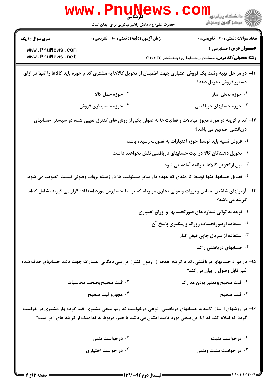|                                    | <b>www.PnuNews</b>                                 |                                                                                                                                                                                                                       |
|------------------------------------|----------------------------------------------------|-----------------------------------------------------------------------------------------------------------------------------------------------------------------------------------------------------------------------|
|                                    | حضرت علی(ع): دانش راهبر نیکویی برای ایمان است      | الاد دانشگاه پيام نور<br>الاستخاب پيام نور<br>الاستخاب آزمهن وسنجش                                                                                                                                                    |
| <b>سری سوال : ۱ یک</b>             | <b>زمان آزمون (دقیقه) : تستی : 60 ٪ تشریحی : 0</b> | <b>تعداد سوالات : تستی : 30 ٪ تشریحی : 0</b>                                                                                                                                                                          |
| www.PnuNews.com<br>www.PnuNews.net |                                                    | <b>عنـــوان درس:</b> حسابرسی ۲<br><b>رشته تحصیلی/کد درس:</b> حسابداری،حسابداری (چندبخشی ) ۱۲۱۴۰۳۳                                                                                                                     |
|                                    |                                                    | ۱۲- در مراحل تهیه وثبت یک فروش اعتباری جهت اطمینان از تحویل کالاها به مشتری کدام حوزه باید کالاها را تنها در ازای<br>دستور فروش تحويل دهد؟                                                                            |
|                                    | ۰۲ حوزه حمل کالا                                   | ۰۱ حوزه بخش انبار                                                                                                                                                                                                     |
|                                    | ۰۴ حوزه حسابداری فروش                              | ۰ <sup>۳</sup> حوزه حسابهای دریافتنی                                                                                                                                                                                  |
|                                    |                                                    | ۱۳– کدام گزینه در مورد مجوز مبادلات و فعالیت ها به عنوان یکی از روش های کنترل تعیین شده در سیستم حسابهای<br>دریافتنی صحیح می باشد؟                                                                                    |
|                                    |                                                    | ۰۱ فروش نسیه باید توسط حوزه اعتبارات به تصویب رسیده باشد                                                                                                                                                              |
|                                    |                                                    | <sup>۲</sup> ۰ تحویل دهندگان کالا در ثبت حسابهای دریافتنی نقش نخواهند داشت                                                                                                                                            |
|                                    |                                                    | ۰۳ قبل از تحویل کالاها، بارنامه آماده می شود                                                                                                                                                                          |
|                                    |                                                    | ۰۴ تعدیل حسابها، تنها توسط کارمندی که عهده دار سایر مسئولیت ها در زمینه بروات وصولی نیست، تصویب می شود.                                                                                                               |
|                                    |                                                    | ۱۴- آزمونهای شاخص اجناس و بروات وصولی تجاری مربوطه که توسط حسابرس مورد استفاده قرار می گیرند، شامل کدام<br>گزینه می باشد؟                                                                                             |
|                                    |                                                    | ۰۱ توجه به توالی شماره های صورتحسابها و اوراق اعتباری                                                                                                                                                                 |
|                                    |                                                    | <sup>۰۲</sup> استفاده ازصورتحساب روزانه و پیگیری پاسخ آن                                                                                                                                                              |
|                                    |                                                    | استفاده از سریال چاپی قبض انبار $\cdot$                                                                                                                                                                               |
|                                    |                                                    | ۰۴ حسابهای دریافتنی راکد                                                                                                                                                                                              |
|                                    |                                                    | ۱۵– در مورد حسابهای دریافتنی ،کدام گزینه  هدف از آزمون کنترل بررسی بایگانی اعتبارات جهت تائید حسابهای حذف شده<br>غیر قابل وصول را بیان می کند؟                                                                        |
|                                    | ۰ <sup>۲ .</sup> ثبت صحیح وصحت محاسبات             | ۰۱ ثبت صحیح ومعتبر بودن مدارک                                                                                                                                                                                         |
|                                    | ۰ <sup>۴</sup> مجوزو ثبت صحيح                      | ۰ <sup>۳</sup> ثبت صحیح                                                                                                                                                                                               |
|                                    |                                                    | ۱۶– در روشهای ارسال تاییدیه حسابهای دریافتنی، نوعی درخواست که رقم بدهی مشتری ًقید گردد واز مشتری در خواست<br>گردد که اعلام کند که آیا این بدهی مورد تایید ایشان می باشد یا خیر، مربوط به کدامیک از گزینه های زیر است؟ |
|                                    | ۰ <sup>۲</sup> درخواست منفی                        | ۰۱ درخواست مثبت                                                                                                                                                                                                       |
|                                    | ۰۴ در خواست اختیاری                                | ۰ <sup>۳</sup> در خواست مثبت ومنفی                                                                                                                                                                                    |

 $=$   $1 - 1 - 11 - 11 - 17 - 19$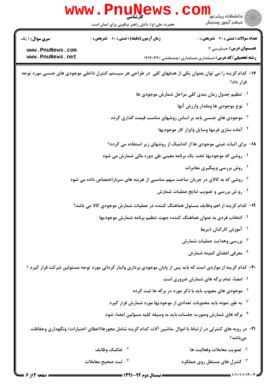

 $= 1.11 / 1.111 + 11$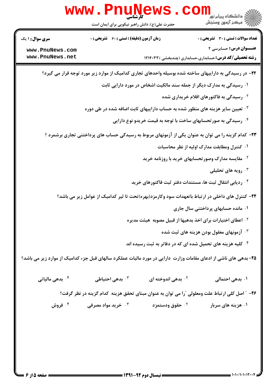|                             | www.PnuNews                                        |                             |                                                                                                                  |
|-----------------------------|----------------------------------------------------|-----------------------------|------------------------------------------------------------------------------------------------------------------|
|                             | حضرت علی(ع): دانش راهبر نیکویی برای ایمان است      |                             | د دانشڪاه پيام نور<br><mark>√</mark> مرڪز آزمون وسنڊش                                                            |
| <b>سری سوال : ۱ یک</b>      | <b>زمان آزمون (دقیقه) : تستی : 60 ٪ تشریحی : 0</b> |                             | <b>تعداد سوالات : تستی : 30 ٪ تشریحی : 0</b>                                                                     |
| www.PnuNews.com             |                                                    |                             | <b>عنــوان درس:</b> حسابرسي ٢                                                                                    |
| www.PnuNews.net             |                                                    |                             | <b>رشته تحصیلی/کد درس: </b> حسابداری،حسابداری (چندبخشی ) ۱۲۱۴۰۳۳                                                 |
|                             |                                                    |                             | ۲۲– در رسیدگی به داراییهای ساخته شده بوسیله واحدهای تجاری کدامیک از موارد زیر مورد توجه قرار می گیرد؟            |
|                             |                                                    |                             | ۰۱ رسیدگی به مدارک دیگر از جمله سند مالکیت اشخاص در مورد دارایی ثابت                                             |
|                             |                                                    |                             | <sup>۲.</sup> رسیدگی به فاکتورهای اقلام خریداری شده                                                              |
|                             |                                                    |                             | ۰ <sup>۳ ت</sup> عیین سایر هزینه های منظور شده به حساب داراییهای ثابت اضافه شده در طی دوره                       |
|                             |                                                    |                             | ۰۴ رسیدگی به صور تحسابهای ساخت با توجه به قیمت خریدو نوع دارایی <b>۴</b>                                         |
|                             |                                                    |                             | ۲۳- کدام گزینه را می توان به عنوان یکی از آزمونهای مربوط به رسیدگی حساب های پرداختنی تجاری برشمرد ؟              |
|                             |                                                    |                             | ۰۱ کنترل ومطابقت مدارک اولیه از نظر محاسبات                                                                      |
|                             |                                                    |                             | <sup>۲ .</sup> مقایسه مدارک وصور تحسابهای خرید با روزنامه خرید                                                   |
|                             |                                                    |                             | رویه های تحلیلی $\cdot^{\mathsf{r}}$                                                                             |
|                             |                                                    |                             | ۰۴ ردیابی انتقال ثبت ها، مستندات دفتر ثبت فاکتورهای خرید                                                         |
|                             |                                                    |                             | ۲۴– کنترل های داخلی در ارتباط باتعهدات سود وکارمزد(بهره)تحت تا ثیر کدامیک از عوامل زیر می باشد؟                  |
|                             |                                                    |                             | ۰۱ مانده حسابهای پرداختنی سال جاری                                                                               |
|                             |                                                    |                             | <sup>7</sup> · اعطای اختیارات برای اخذ بدهیها از قبیل مصوبه  هیئت مدیره                                          |
|                             |                                                    |                             | اً آزمونهای معقول بودن هزینه های ثبت شده $\cdot$                                                                 |
|                             |                                                    |                             | ۰۴ کلیه هزینه های تحمیل شده ای که در دفاتر به ثبت رسیده اند                                                      |
|                             |                                                    |                             | ۲۵- بدهی های ناشی از ادعای مقامات وزارت دارایی در مورد مالیات عملکرد سالهای قبل جزء کدامیک از موارد زیر می باشد؟ |
| ۰ <sup>۴</sup> بدهی مالیاتی | ۰ <sup>۳</sup> بدهی احتیاطی                        | بدهی اندوخته ای $\cdot$ ۲   | ۰۱ بدهی احتمالی                                                                                                  |
|                             |                                                    |                             | ۲۶– ″ اصل کلی ارتباط علت ومعلولی ″را می توان به عنوان مبنای تحقق هزینه کدام گزینه در نظر گرفت؟                   |
| ۰۴ فروش                     | ۰ <sup>۳</sup> خرید مواد مصرفی                     | ۰ <sup>۲</sup> حقوق ودستمزد | ۰۱ هزینه های سربار                                                                                               |
|                             |                                                    |                             |                                                                                                                  |
|                             |                                                    |                             |                                                                                                                  |
|                             |                                                    |                             |                                                                                                                  |
|                             |                                                    |                             |                                                                                                                  |
|                             |                                                    |                             |                                                                                                                  |